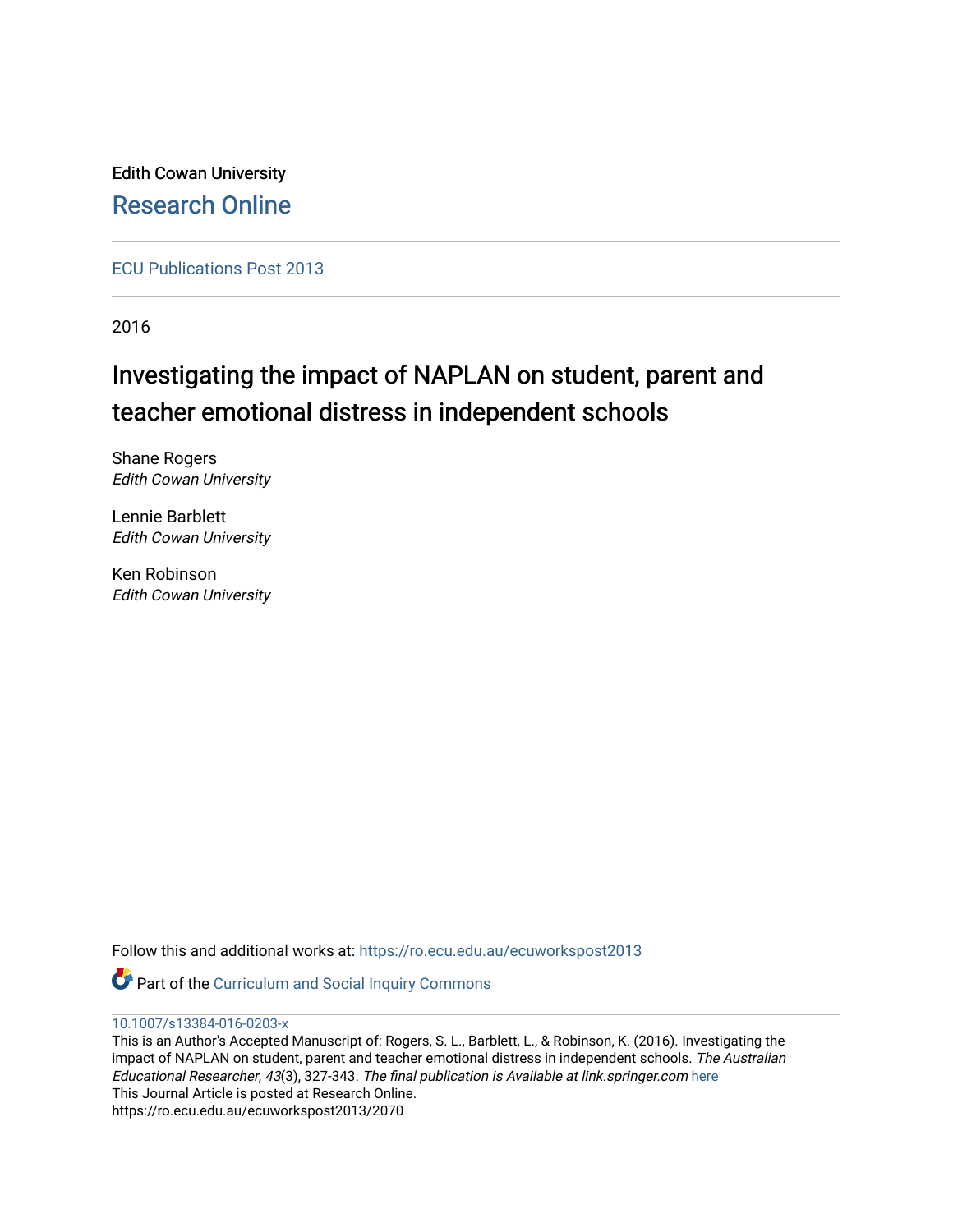Edith Cowan University [Research Online](https://ro.ecu.edu.au/) 

[ECU Publications Post 2013](https://ro.ecu.edu.au/ecuworkspost2013)

2016

# Investigating the impact of NAPLAN on student, parent and teacher emotional distress in independent schools

Shane Rogers Edith Cowan University

Lennie Barblett Edith Cowan University

Ken Robinson Edith Cowan University

Follow this and additional works at: [https://ro.ecu.edu.au/ecuworkspost2013](https://ro.ecu.edu.au/ecuworkspost2013?utm_source=ro.ecu.edu.au%2Fecuworkspost2013%2F2070&utm_medium=PDF&utm_campaign=PDFCoverPages) 

Part of the [Curriculum and Social Inquiry Commons](http://network.bepress.com/hgg/discipline/1038?utm_source=ro.ecu.edu.au%2Fecuworkspost2013%2F2070&utm_medium=PDF&utm_campaign=PDFCoverPages) 

[10.1007/s13384-016-0203-x](http://dx.doi.org/10.1007/s13384-016-0203-x) 

This is an Author's Accepted Manuscript of: Rogers, S. L., Barblett, L., & Robinson, K. (2016). Investigating the impact of NAPLAN on student, parent and teacher emotional distress in independent schools. The Australian Educational Researcher, 43(3), 327-343. The final publication is Available at link.springer.com [here](http://dx.doi.org/10.1007/s13384-016-0203-x)  This Journal Article is posted at Research Online. https://ro.ecu.edu.au/ecuworkspost2013/2070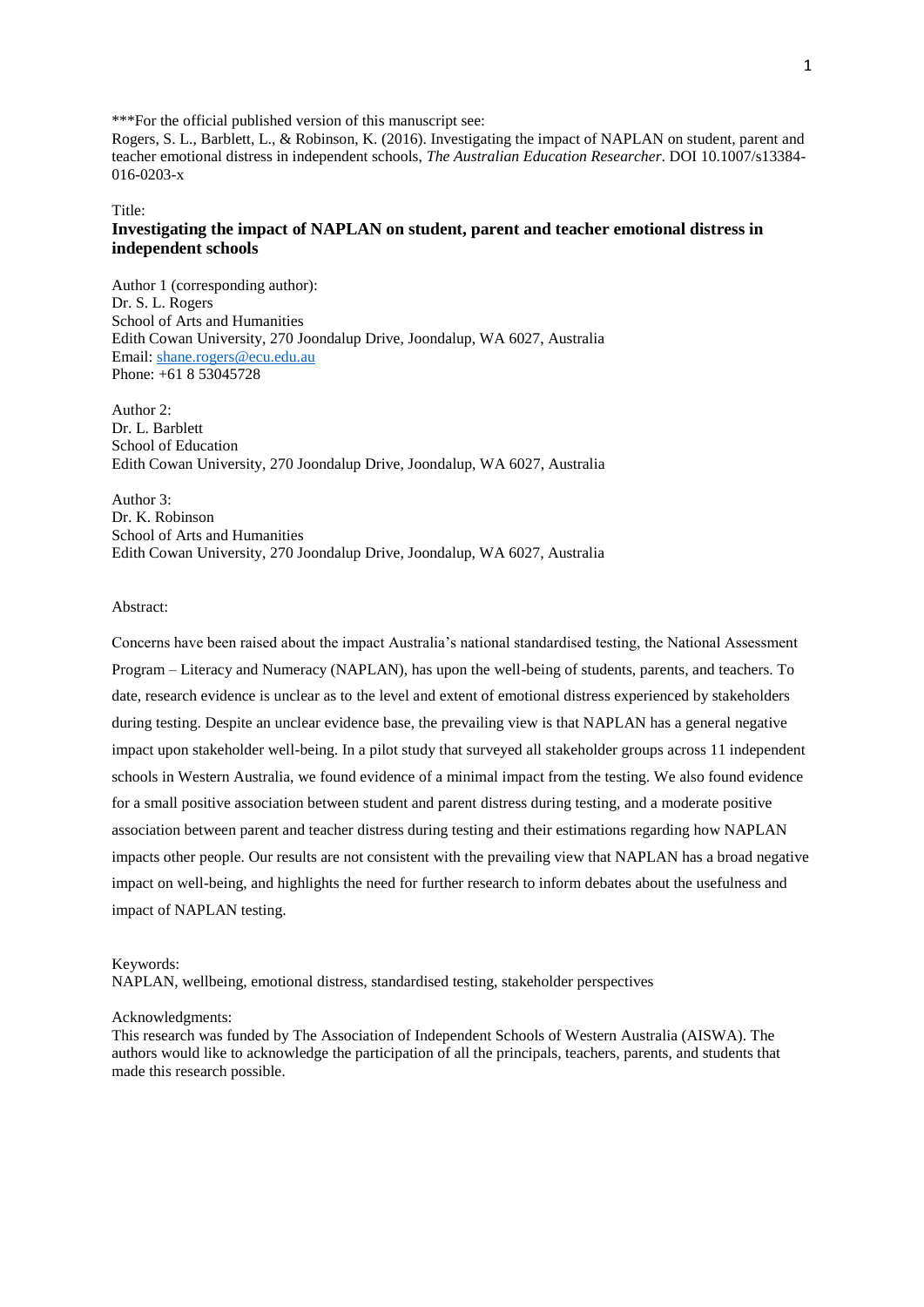\*\*\*For the official published version of this manuscript see:

Rogers, S. L., Barblett, L., & Robinson, K. (2016). Investigating the impact of NAPLAN on student, parent and teacher emotional distress in independent schools, *The Australian Education Researcher*. DOI 10.1007/s13384- 016-0203-x

Title:

# **Investigating the impact of NAPLAN on student, parent and teacher emotional distress in independent schools**

Author 1 (corresponding author): Dr. S. L. Rogers School of Arts and Humanities Edith Cowan University, 270 Joondalup Drive, Joondalup, WA 6027, Australia Email: [shane.rogers@ecu.edu.au](mailto:shane.rogers@ecu.edu.au) Phone: +61 8 53045728

Author 2: Dr. L. Barblett School of Education Edith Cowan University, 270 Joondalup Drive, Joondalup, WA 6027, Australia

Author 3: Dr. K. Robinson School of Arts and Humanities Edith Cowan University, 270 Joondalup Drive, Joondalup, WA 6027, Australia

# Abstract:

Concerns have been raised about the impact Australia's national standardised testing, the National Assessment Program – Literacy and Numeracy (NAPLAN), has upon the well-being of students, parents, and teachers. To date, research evidence is unclear as to the level and extent of emotional distress experienced by stakeholders during testing. Despite an unclear evidence base, the prevailing view is that NAPLAN has a general negative impact upon stakeholder well-being. In a pilot study that surveyed all stakeholder groups across 11 independent schools in Western Australia, we found evidence of a minimal impact from the testing. We also found evidence for a small positive association between student and parent distress during testing, and a moderate positive association between parent and teacher distress during testing and their estimations regarding how NAPLAN impacts other people. Our results are not consistent with the prevailing view that NAPLAN has a broad negative impact on well-being, and highlights the need for further research to inform debates about the usefulness and impact of NAPLAN testing.

Keywords:

NAPLAN, wellbeing, emotional distress, standardised testing, stakeholder perspectives

#### Acknowledgments:

This research was funded by The Association of Independent Schools of Western Australia (AISWA). The authors would like to acknowledge the participation of all the principals, teachers, parents, and students that made this research possible.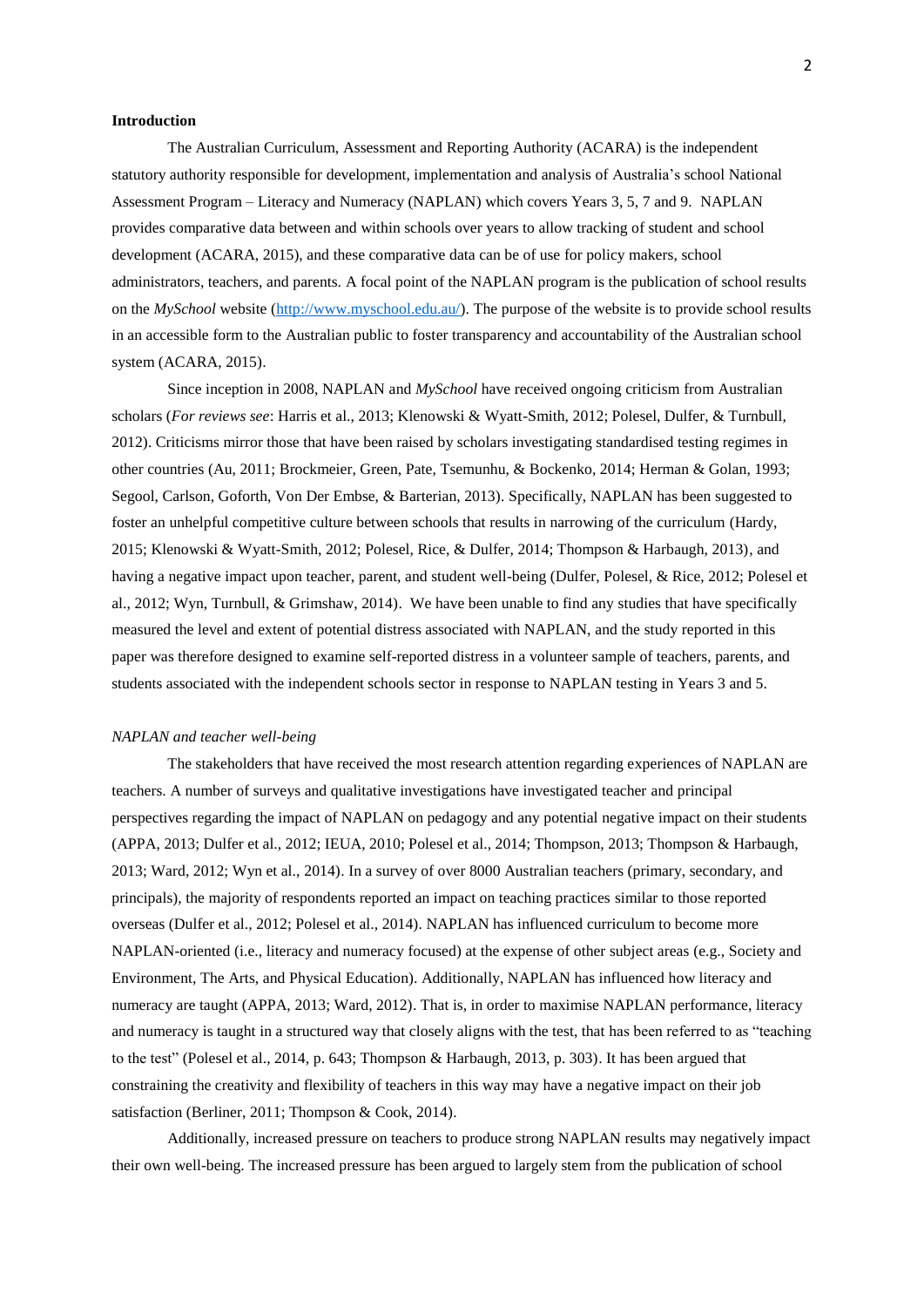#### **Introduction**

The Australian Curriculum, Assessment and Reporting Authority (ACARA) is the independent statutory authority responsible for development, implementation and analysis of Australia's school National Assessment Program – Literacy and Numeracy (NAPLAN) which covers Years 3, 5, 7 and 9. NAPLAN provides comparative data between and within schools over years to allow tracking of student and school development (ACARA, 2015), and these comparative data can be of use for policy makers, school administrators, teachers, and parents. A focal point of the NAPLAN program is the publication of school results on the *MySchool* website [\(http://www.myschool.edu.au/\)](http://www.myschool.edu.au/). The purpose of the website is to provide school results in an accessible form to the Australian public to foster transparency and accountability of the Australian school system (ACARA, 2015).

Since inception in 2008, NAPLAN and *MySchool* have received ongoing criticism from Australian scholars (*For reviews see*: Harris et al., 2013; Klenowski & Wyatt-Smith, 2012; Polesel, Dulfer, & Turnbull, 2012). Criticisms mirror those that have been raised by scholars investigating standardised testing regimes in other countries (Au, 2011; Brockmeier, Green, Pate, Tsemunhu, & Bockenko, 2014; Herman & Golan, 1993; Segool, Carlson, Goforth, Von Der Embse, & Barterian, 2013). Specifically, NAPLAN has been suggested to foster an unhelpful competitive culture between schools that results in narrowing of the curriculum (Hardy, 2015; Klenowski & Wyatt-Smith, 2012; Polesel, Rice, & Dulfer, 2014; Thompson & Harbaugh, 2013), and having a negative impact upon teacher, parent, and student well-being (Dulfer, Polesel, & Rice, 2012; Polesel et al., 2012; Wyn, Turnbull, & Grimshaw, 2014). We have been unable to find any studies that have specifically measured the level and extent of potential distress associated with NAPLAN, and the study reported in this paper was therefore designed to examine self-reported distress in a volunteer sample of teachers, parents, and students associated with the independent schools sector in response to NAPLAN testing in Years 3 and 5.

## *NAPLAN and teacher well-being*

The stakeholders that have received the most research attention regarding experiences of NAPLAN are teachers. A number of surveys and qualitative investigations have investigated teacher and principal perspectives regarding the impact of NAPLAN on pedagogy and any potential negative impact on their students (APPA, 2013; Dulfer et al., 2012; IEUA, 2010; Polesel et al., 2014; Thompson, 2013; Thompson & Harbaugh, 2013; Ward, 2012; Wyn et al., 2014). In a survey of over 8000 Australian teachers (primary, secondary, and principals), the majority of respondents reported an impact on teaching practices similar to those reported overseas (Dulfer et al., 2012; Polesel et al., 2014). NAPLAN has influenced curriculum to become more NAPLAN-oriented (i.e., literacy and numeracy focused) at the expense of other subject areas (e.g., Society and Environment, The Arts, and Physical Education). Additionally, NAPLAN has influenced how literacy and numeracy are taught (APPA, 2013; Ward, 2012). That is, in order to maximise NAPLAN performance, literacy and numeracy is taught in a structured way that closely aligns with the test, that has been referred to as "teaching to the test" (Polesel et al., 2014, p. 643; Thompson & Harbaugh, 2013, p. 303). It has been argued that constraining the creativity and flexibility of teachers in this way may have a negative impact on their job satisfaction (Berliner, 2011; Thompson & Cook, 2014).

Additionally, increased pressure on teachers to produce strong NAPLAN results may negatively impact their own well-being. The increased pressure has been argued to largely stem from the publication of school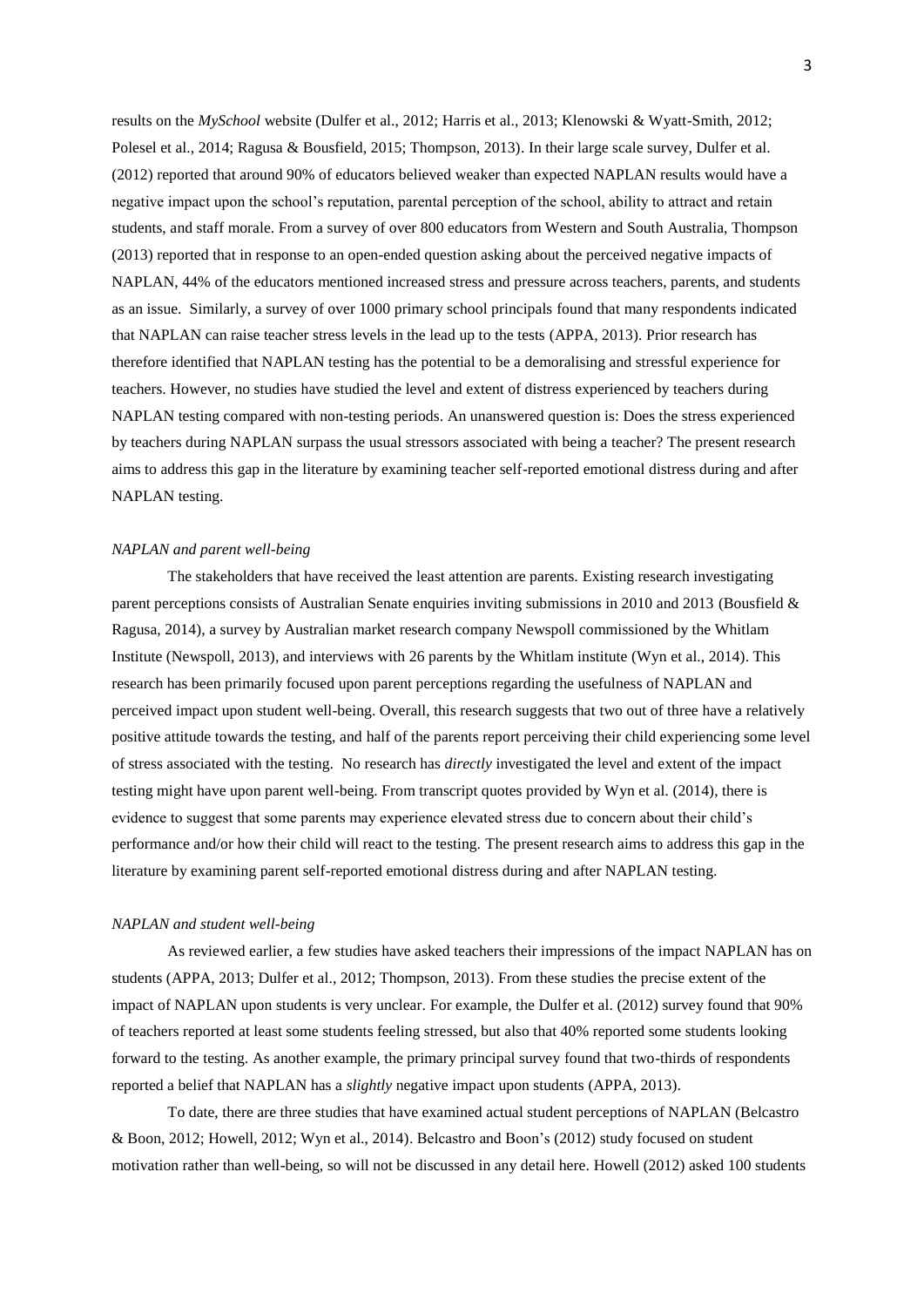results on the *MySchool* website (Dulfer et al., 2012; Harris et al., 2013; Klenowski & Wyatt-Smith, 2012; Polesel et al., 2014; Ragusa & Bousfield, 2015; Thompson, 2013). In their large scale survey, Dulfer et al. (2012) reported that around 90% of educators believed weaker than expected NAPLAN results would have a negative impact upon the school's reputation, parental perception of the school, ability to attract and retain students, and staff morale. From a survey of over 800 educators from Western and South Australia, Thompson (2013) reported that in response to an open-ended question asking about the perceived negative impacts of NAPLAN, 44% of the educators mentioned increased stress and pressure across teachers, parents, and students as an issue. Similarly, a survey of over 1000 primary school principals found that many respondents indicated that NAPLAN can raise teacher stress levels in the lead up to the tests (APPA, 2013). Prior research has therefore identified that NAPLAN testing has the potential to be a demoralising and stressful experience for teachers. However, no studies have studied the level and extent of distress experienced by teachers during NAPLAN testing compared with non-testing periods. An unanswered question is: Does the stress experienced by teachers during NAPLAN surpass the usual stressors associated with being a teacher? The present research aims to address this gap in the literature by examining teacher self-reported emotional distress during and after NAPLAN testing.

## *NAPLAN and parent well-being*

The stakeholders that have received the least attention are parents. Existing research investigating parent perceptions consists of Australian Senate enquiries inviting submissions in 2010 and 2013 (Bousfield & Ragusa, 2014), a survey by Australian market research company Newspoll commissioned by the Whitlam Institute (Newspoll, 2013), and interviews with 26 parents by the Whitlam institute (Wyn et al., 2014). This research has been primarily focused upon parent perceptions regarding the usefulness of NAPLAN and perceived impact upon student well-being. Overall, this research suggests that two out of three have a relatively positive attitude towards the testing, and half of the parents report perceiving their child experiencing some level of stress associated with the testing. No research has *directly* investigated the level and extent of the impact testing might have upon parent well-being. From transcript quotes provided by Wyn et al. (2014), there is evidence to suggest that some parents may experience elevated stress due to concern about their child's performance and/or how their child will react to the testing. The present research aims to address this gap in the literature by examining parent self-reported emotional distress during and after NAPLAN testing.

## *NAPLAN and student well-being*

As reviewed earlier, a few studies have asked teachers their impressions of the impact NAPLAN has on students (APPA, 2013; Dulfer et al., 2012; Thompson, 2013). From these studies the precise extent of the impact of NAPLAN upon students is very unclear. For example, the Dulfer et al. (2012) survey found that 90% of teachers reported at least some students feeling stressed, but also that 40% reported some students looking forward to the testing. As another example, the primary principal survey found that two-thirds of respondents reported a belief that NAPLAN has a *slightly* negative impact upon students (APPA, 2013).

To date, there are three studies that have examined actual student perceptions of NAPLAN (Belcastro & Boon, 2012; Howell, 2012; Wyn et al., 2014). Belcastro and Boon's (2012) study focused on student motivation rather than well-being, so will not be discussed in any detail here. Howell (2012) asked 100 students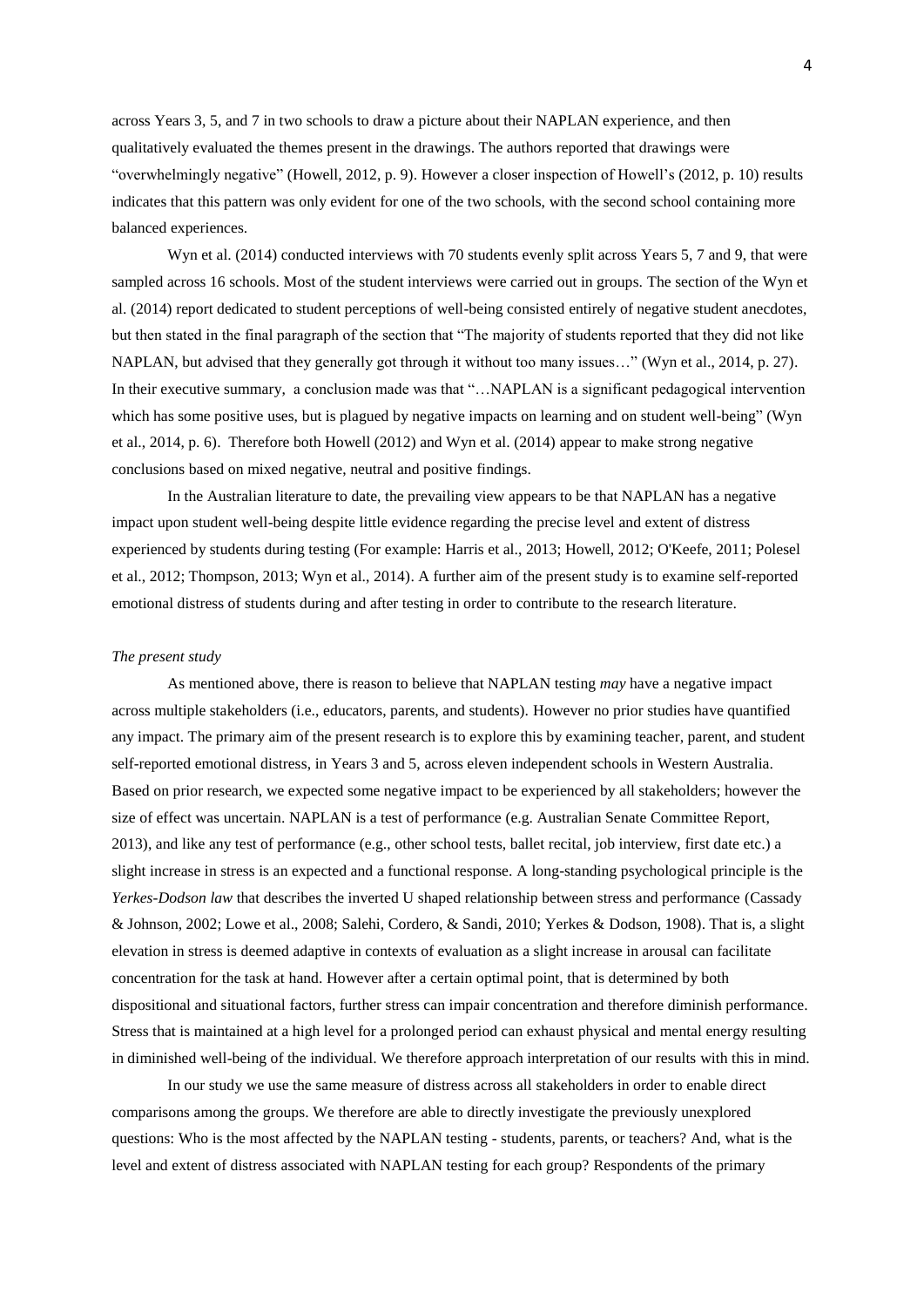across Years 3, 5, and 7 in two schools to draw a picture about their NAPLAN experience, and then qualitatively evaluated the themes present in the drawings. The authors reported that drawings were "overwhelmingly negative" (Howell, 2012, p. 9). However a closer inspection of Howell's (2012, p. 10) results indicates that this pattern was only evident for one of the two schools, with the second school containing more balanced experiences.

Wyn et al. (2014) conducted interviews with 70 students evenly split across Years 5, 7 and 9, that were sampled across 16 schools. Most of the student interviews were carried out in groups. The section of the Wyn et al. (2014) report dedicated to student perceptions of well-being consisted entirely of negative student anecdotes, but then stated in the final paragraph of the section that "The majority of students reported that they did not like NAPLAN, but advised that they generally got through it without too many issues…" (Wyn et al., 2014, p. 27). In their executive summary, a conclusion made was that "…NAPLAN is a significant pedagogical intervention which has some positive uses, but is plagued by negative impacts on learning and on student well-being" (Wyn et al., 2014, p. 6). Therefore both Howell (2012) and Wyn et al. (2014) appear to make strong negative conclusions based on mixed negative, neutral and positive findings.

In the Australian literature to date, the prevailing view appears to be that NAPLAN has a negative impact upon student well-being despite little evidence regarding the precise level and extent of distress experienced by students during testing (For example: Harris et al., 2013; Howell, 2012; O'Keefe, 2011; Polesel et al., 2012; Thompson, 2013; Wyn et al., 2014). A further aim of the present study is to examine self-reported emotional distress of students during and after testing in order to contribute to the research literature.

#### *The present study*

As mentioned above, there is reason to believe that NAPLAN testing *may* have a negative impact across multiple stakeholders (i.e., educators, parents, and students). However no prior studies have quantified any impact. The primary aim of the present research is to explore this by examining teacher, parent, and student self-reported emotional distress, in Years 3 and 5, across eleven independent schools in Western Australia. Based on prior research, we expected some negative impact to be experienced by all stakeholders; however the size of effect was uncertain. NAPLAN is a test of performance (e.g. Australian Senate Committee Report, 2013), and like any test of performance (e.g., other school tests, ballet recital, job interview, first date etc.) a slight increase in stress is an expected and a functional response. A long-standing psychological principle is the *Yerkes-Dodson law* that describes the inverted U shaped relationship between stress and performance (Cassady & Johnson, 2002; Lowe et al., 2008; Salehi, Cordero, & Sandi, 2010; Yerkes & Dodson, 1908). That is, a slight elevation in stress is deemed adaptive in contexts of evaluation as a slight increase in arousal can facilitate concentration for the task at hand. However after a certain optimal point, that is determined by both dispositional and situational factors, further stress can impair concentration and therefore diminish performance. Stress that is maintained at a high level for a prolonged period can exhaust physical and mental energy resulting in diminished well-being of the individual. We therefore approach interpretation of our results with this in mind.

In our study we use the same measure of distress across all stakeholders in order to enable direct comparisons among the groups. We therefore are able to directly investigate the previously unexplored questions: Who is the most affected by the NAPLAN testing - students, parents, or teachers? And, what is the level and extent of distress associated with NAPLAN testing for each group? Respondents of the primary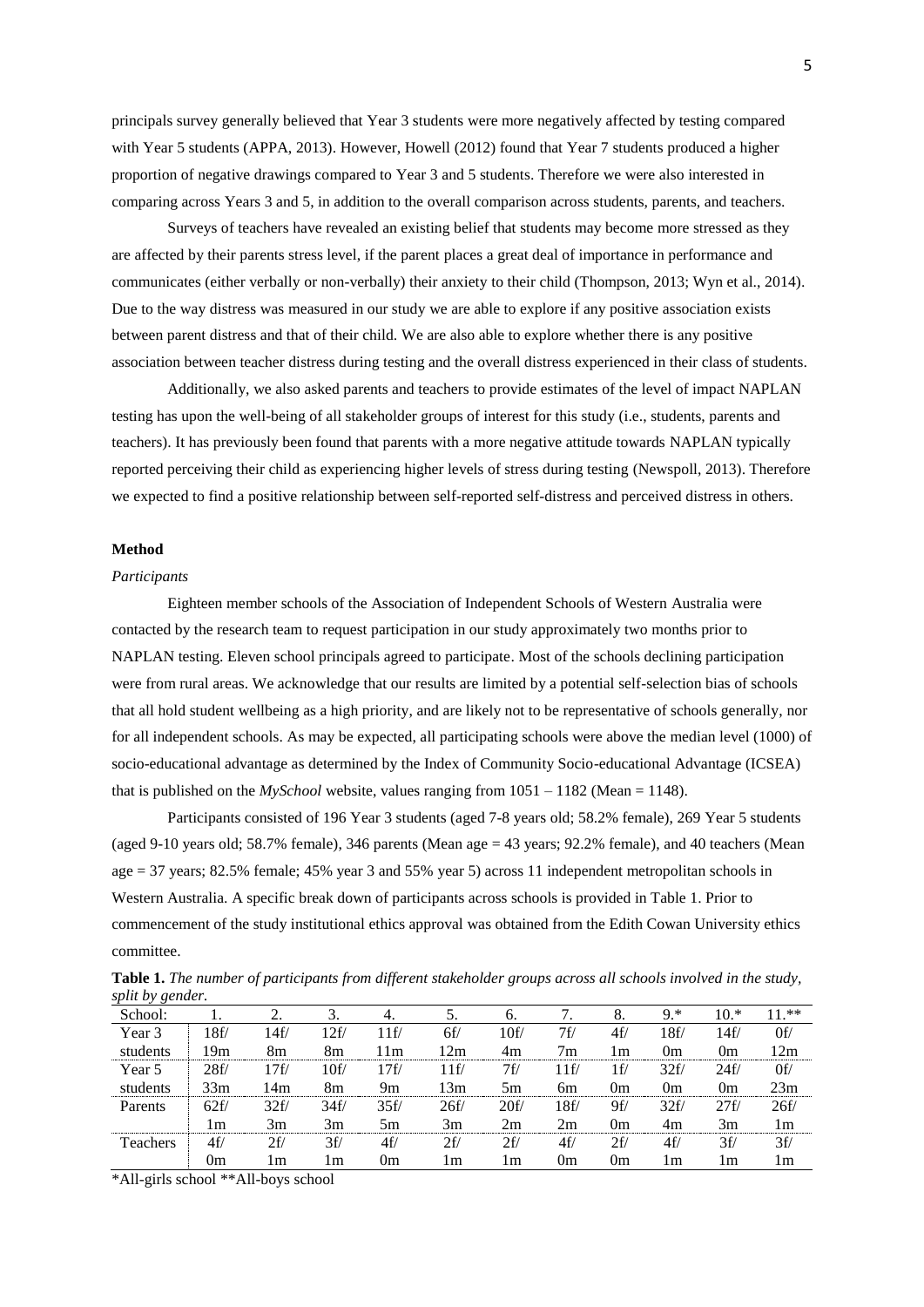principals survey generally believed that Year 3 students were more negatively affected by testing compared with Year 5 students (APPA, 2013). However, Howell (2012) found that Year 7 students produced a higher proportion of negative drawings compared to Year 3 and 5 students. Therefore we were also interested in comparing across Years 3 and 5, in addition to the overall comparison across students, parents, and teachers.

Surveys of teachers have revealed an existing belief that students may become more stressed as they are affected by their parents stress level, if the parent places a great deal of importance in performance and communicates (either verbally or non-verbally) their anxiety to their child (Thompson, 2013; Wyn et al., 2014). Due to the way distress was measured in our study we are able to explore if any positive association exists between parent distress and that of their child. We are also able to explore whether there is any positive association between teacher distress during testing and the overall distress experienced in their class of students.

Additionally, we also asked parents and teachers to provide estimates of the level of impact NAPLAN testing has upon the well-being of all stakeholder groups of interest for this study (i.e., students, parents and teachers). It has previously been found that parents with a more negative attitude towards NAPLAN typically reported perceiving their child as experiencing higher levels of stress during testing (Newspoll, 2013). Therefore we expected to find a positive relationship between self-reported self-distress and perceived distress in others.

## **Method**

## *Participants*

Eighteen member schools of the Association of Independent Schools of Western Australia were contacted by the research team to request participation in our study approximately two months prior to NAPLAN testing. Eleven school principals agreed to participate. Most of the schools declining participation were from rural areas. We acknowledge that our results are limited by a potential self-selection bias of schools that all hold student wellbeing as a high priority, and are likely not to be representative of schools generally, nor for all independent schools. As may be expected, all participating schools were above the median level (1000) of socio-educational advantage as determined by the Index of Community Socio-educational Advantage (ICSEA) that is published on the  $MySchool$  website, values ranging from  $1051 - 1182$  (Mean = 1148).

Participants consisted of 196 Year 3 students (aged 7-8 years old; 58.2% female), 269 Year 5 students (aged 9-10 years old; 58.7% female), 346 parents (Mean age = 43 years; 92.2% female), and 40 teachers (Mean age = 37 years; 82.5% female; 45% year 3 and 55% year 5) across 11 independent metropolitan schools in Western Australia. A specific break down of participants across schools is provided in Table 1. Prior to commencement of the study institutional ethics approval was obtained from the Edith Cowan University ethics committee.

| Table 1. The number of participants from different stakeholder groups across all schools involved in the study, |  |
|-----------------------------------------------------------------------------------------------------------------|--|
| split by gender.                                                                                                |  |

| .<br>School:    |                 |      |      | 4.   | 5.   | $\mathbf{0}$ |                | 8.  | 9.*  | $10.*$ | $11.**$ |
|-----------------|-----------------|------|------|------|------|--------------|----------------|-----|------|--------|---------|
| Year 3          | 8f/             | 14f/ | 12f/ | 11f/ | 6f/  | 10f/         | 7f             | 4f/ | l 8f | l 4f/  | 0f/     |
| students        | 19m             | 8m   | 8m   | 11m  | 12m  | 4m           | 7 <sub>m</sub> | l m | 0m   | 0m     | 12m     |
| Year 5          | 28f/            | 17f/ | 10f/ | 17f/ | 1f/  | 7f/          | l 1 f/         | 1f/ | 32f/ | 24f/   | 0f/     |
| students        | 33 <sub>m</sub> | l 4m | 8m   | 9m   | l 3m | 5m           | 6m             | 0m  | 0m   | 0m     | 23m     |
| Parents         | 62f/            | 32f/ | 34f/ | 35f/ | 26f/ | 20f/         | 18f/           | 9f/ | 32f/ | 27f/   | 26f/    |
|                 | l m             | 3m   | 3m   | 5m   | 3m   | 2m           | 2m             | 0m  | 4m   | 3m     | 1 m     |
| <b>Teachers</b> | 4f              | 2f/  | 3f/  | 4f/  | 2f/  | 2f/          | 4f/            | 2f/ | 4f/  | 3f/    | 3f/     |
|                 | 0m              | l m  | l m  | 0m   | l m  | l m          | 0m             | 0m  | l m  | l m    | l m     |

\*All-girls school \*\*All-boys school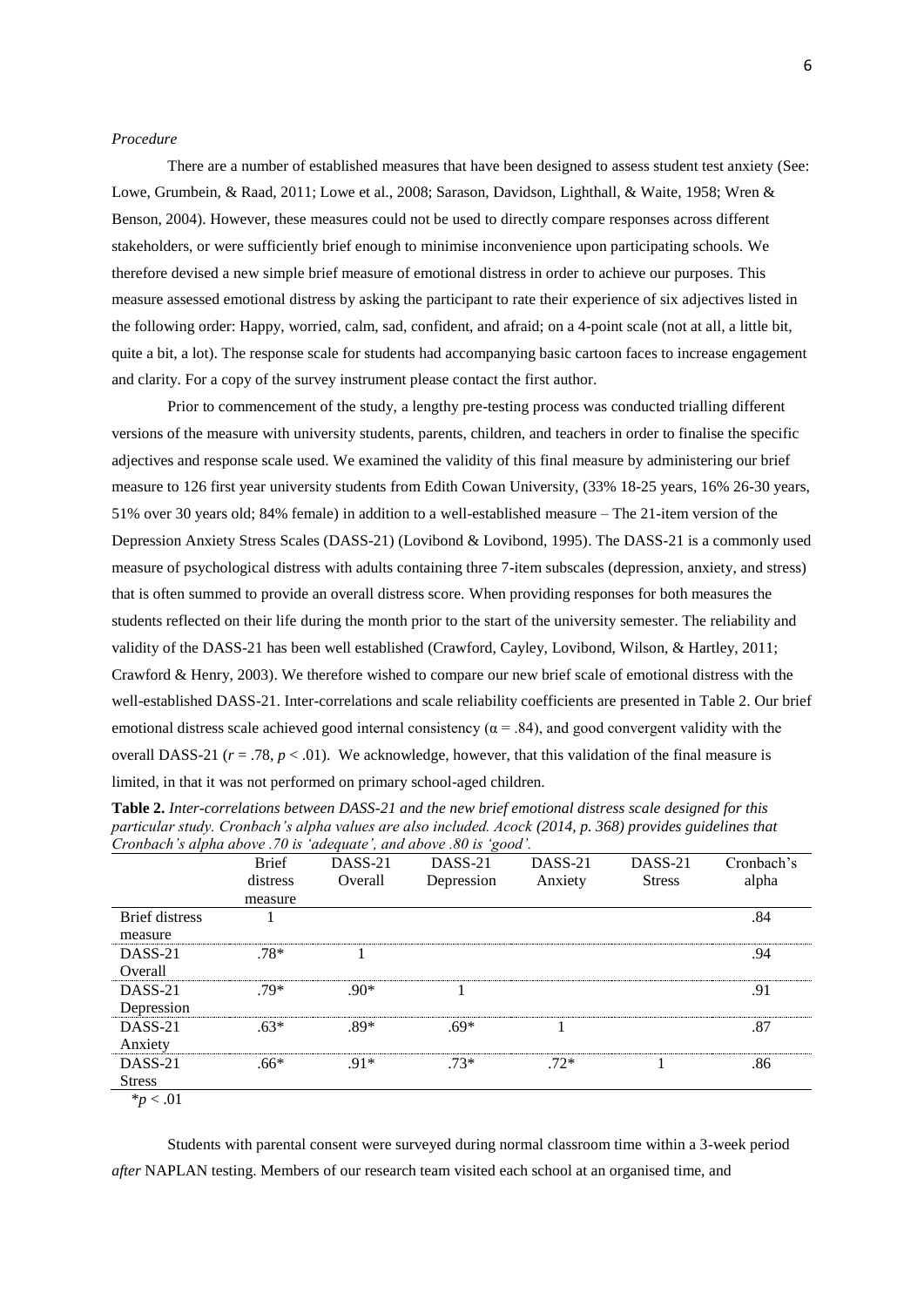### *Procedure*

There are a number of established measures that have been designed to assess student test anxiety (See: Lowe, Grumbein, & Raad, 2011; Lowe et al., 2008; Sarason, Davidson, Lighthall, & Waite, 1958; Wren & Benson, 2004). However, these measures could not be used to directly compare responses across different stakeholders, or were sufficiently brief enough to minimise inconvenience upon participating schools. We therefore devised a new simple brief measure of emotional distress in order to achieve our purposes. This measure assessed emotional distress by asking the participant to rate their experience of six adjectives listed in the following order: Happy, worried, calm, sad, confident, and afraid; on a 4-point scale (not at all, a little bit, quite a bit, a lot). The response scale for students had accompanying basic cartoon faces to increase engagement and clarity. For a copy of the survey instrument please contact the first author.

Prior to commencement of the study, a lengthy pre-testing process was conducted trialling different versions of the measure with university students, parents, children, and teachers in order to finalise the specific adjectives and response scale used. We examined the validity of this final measure by administering our brief measure to 126 first year university students from Edith Cowan University, (33% 18-25 years, 16% 26-30 years, 51% over 30 years old; 84% female) in addition to a well-established measure – The 21-item version of the Depression Anxiety Stress Scales (DASS-21) (Lovibond & Lovibond, 1995). The DASS-21 is a commonly used measure of psychological distress with adults containing three 7-item subscales (depression, anxiety, and stress) that is often summed to provide an overall distress score. When providing responses for both measures the students reflected on their life during the month prior to the start of the university semester. The reliability and validity of the DASS-21 has been well established (Crawford, Cayley, Lovibond, Wilson, & Hartley, 2011; Crawford & Henry, 2003). We therefore wished to compare our new brief scale of emotional distress with the well-established DASS-21. Inter-correlations and scale reliability coefficients are presented in Table 2. Our brief emotional distress scale achieved good internal consistency ( $\alpha$  = .84), and good convergent validity with the overall DASS-21 ( $r = .78$ ,  $p < .01$ ). We acknowledge, however, that this validation of the final measure is limited, in that it was not performed on primary school-aged children.

|                       | <b>Brief</b> | DASS-21 | DASS-21    | DASS-21 | DASS-21       | Cronbach's |
|-----------------------|--------------|---------|------------|---------|---------------|------------|
|                       | distress     | Overall | Depression | Anxiety | <b>Stress</b> | alpha      |
|                       | measure      |         |            |         |               |            |
| <b>Brief</b> distress |              |         |            |         |               | .84        |
| measure               |              |         |            |         |               |            |
| DASS-21               | $.78*$       |         |            |         |               | .94        |
| Overall               |              |         |            |         |               |            |
| DASS-21               | $79*$        | $.90*$  |            |         |               | .91        |
| Depression            |              |         |            |         |               |            |
| DASS-21               | $.63*$       | .89*    | $.69*$     |         |               | .87        |
| Anxiety               |              |         |            |         |               |            |
| DASS-21               | .66*         | $.91*$  | $73*$      | $.72*$  |               | .86        |
| <b>Stress</b>         |              |         |            |         |               |            |
| $*_{p}$ < .01         |              |         |            |         |               |            |

**Table 2.** *Inter-correlations between DASS-21 and the new brief emotional distress scale designed for this particular study. Cronbach's alpha values are also included. Acock (2014, p. 368) provides guidelines that Cronbach's alpha above .70 is 'adequate', and above .80 is 'good'.*

Students with parental consent were surveyed during normal classroom time within a 3-week period *after* NAPLAN testing. Members of our research team visited each school at an organised time, and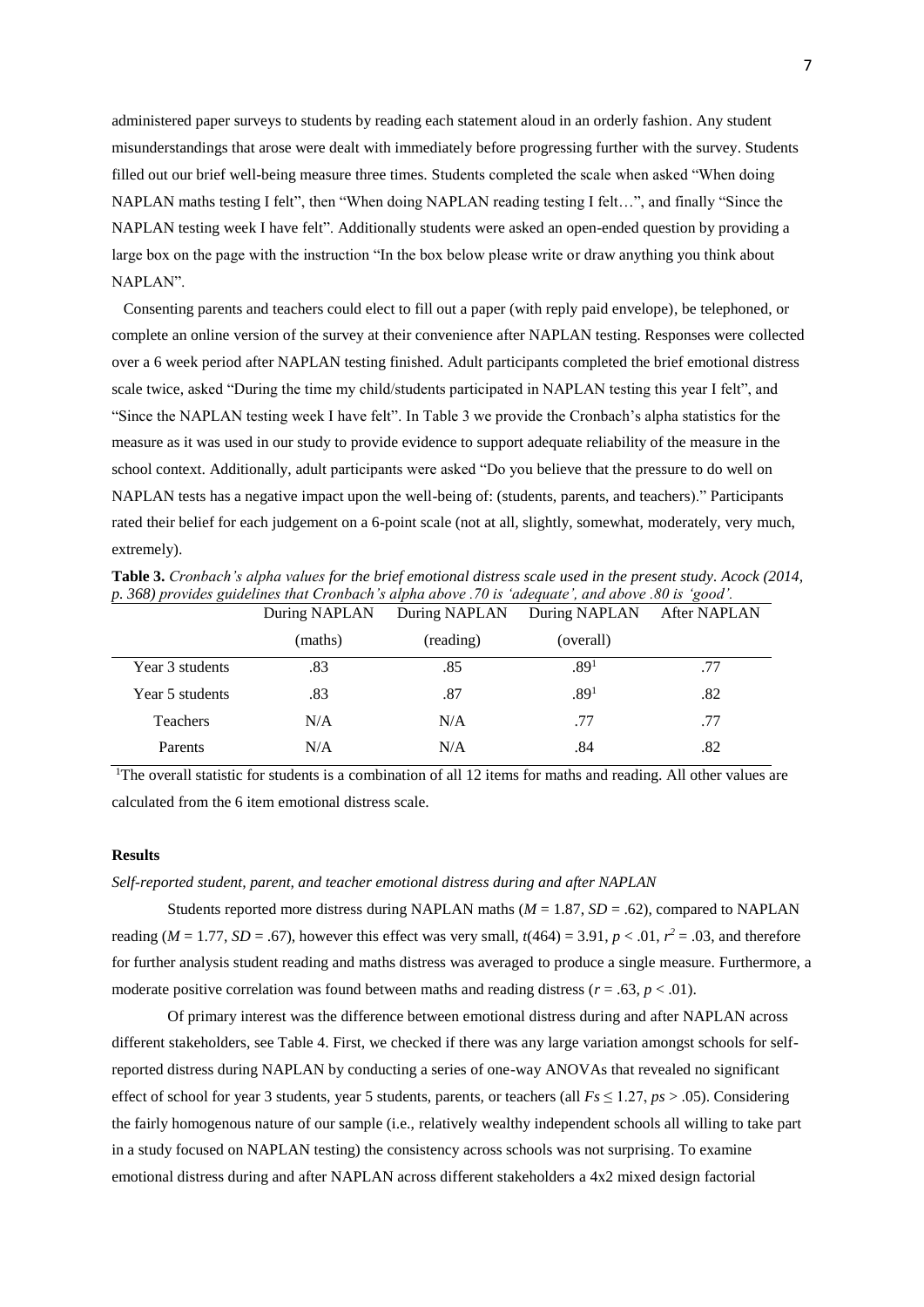administered paper surveys to students by reading each statement aloud in an orderly fashion. Any student misunderstandings that arose were dealt with immediately before progressing further with the survey. Students filled out our brief well-being measure three times. Students completed the scale when asked "When doing NAPLAN maths testing I felt", then "When doing NAPLAN reading testing I felt…", and finally "Since the NAPLAN testing week I have felt". Additionally students were asked an open-ended question by providing a large box on the page with the instruction "In the box below please write or draw anything you think about NAPLAN".

 Consenting parents and teachers could elect to fill out a paper (with reply paid envelope), be telephoned, or complete an online version of the survey at their convenience after NAPLAN testing. Responses were collected over a 6 week period after NAPLAN testing finished. Adult participants completed the brief emotional distress scale twice, asked "During the time my child/students participated in NAPLAN testing this year I felt", and "Since the NAPLAN testing week I have felt". In Table 3 we provide the Cronbach's alpha statistics for the measure as it was used in our study to provide evidence to support adequate reliability of the measure in the school context. Additionally, adult participants were asked "Do you believe that the pressure to do well on NAPLAN tests has a negative impact upon the well-being of: (students, parents, and teachers)." Participants rated their belief for each judgement on a 6-point scale (not at all, slightly, somewhat, moderately, very much, extremely).

**Table 3.** *Cronbach's alpha values for the brief emotional distress scale used in the present study. Acock (2014, p. 368) provides guidelines that Cronbach's alpha above .70 is 'adequate', and above .80 is 'good'.*

|                 | During NAPLAN | During NAPLAN | During NAPLAN    | <b>After NAPLAN</b> |
|-----------------|---------------|---------------|------------------|---------------------|
|                 | (maths)       | (reading)     | (overall)        |                     |
| Year 3 students | .83           | .85           | .89 <sup>1</sup> | .77                 |
| Year 5 students | .83           | .87           | .89 <sup>1</sup> | .82                 |
| Teachers        | N/A           | N/A           | .77              | .77                 |
| Parents         | N/A           | N/A           | .84              | .82                 |

<sup>1</sup>The overall statistic for students is a combination of all 12 items for maths and reading. All other values are calculated from the 6 item emotional distress scale.

#### **Results**

## *Self-reported student, parent, and teacher emotional distress during and after NAPLAN*

Students reported more distress during NAPLAN maths ( $M = 1.87$ ,  $SD = .62$ ), compared to NAPLAN reading ( $M = 1.77$ ,  $SD = .67$ ), however this effect was very small,  $t(464) = 3.91$ ,  $p < .01$ ,  $r^2 = .03$ , and therefore for further analysis student reading and maths distress was averaged to produce a single measure. Furthermore, a moderate positive correlation was found between maths and reading distress ( $r = .63$ ,  $p < .01$ ).

Of primary interest was the difference between emotional distress during and after NAPLAN across different stakeholders, see Table 4. First, we checked if there was any large variation amongst schools for selfreported distress during NAPLAN by conducting a series of one-way ANOVAs that revealed no significant effect of school for year 3 students, year 5 students, parents, or teachers (all *Fs* ≤ 1.27, *ps* > .05). Considering the fairly homogenous nature of our sample (i.e., relatively wealthy independent schools all willing to take part in a study focused on NAPLAN testing) the consistency across schools was not surprising. To examine emotional distress during and after NAPLAN across different stakeholders a 4x2 mixed design factorial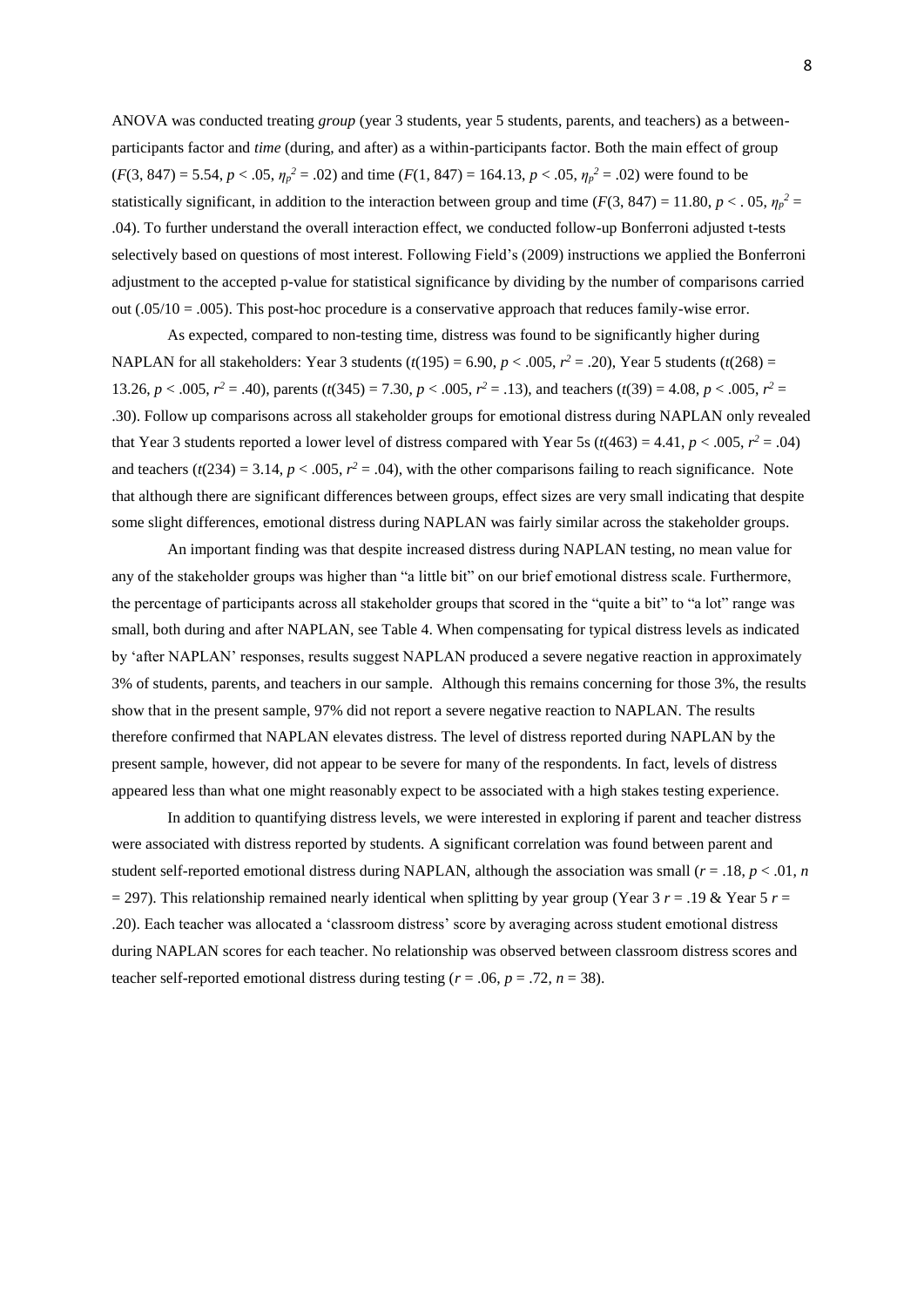ANOVA was conducted treating *group* (year 3 students, year 5 students, parents, and teachers) as a betweenparticipants factor and *time* (during, and after) as a within-participants factor. Both the main effect of group  $(F(3, 847) = 5.54, p < .05, \eta_p^2 = .02)$  and time  $(F(1, 847) = 164.13, p < .05, \eta_p^2 = .02)$  were found to be statistically significant, in addition to the interaction between group and time ( $F(3, 847) = 11.80$ ,  $p < .05$ ,  $\eta_p^2 =$ .04). To further understand the overall interaction effect, we conducted follow-up Bonferroni adjusted t-tests selectively based on questions of most interest. Following Field's (2009) instructions we applied the Bonferroni adjustment to the accepted p-value for statistical significance by dividing by the number of comparisons carried out ( $.05/10 = .005$ ). This post-hoc procedure is a conservative approach that reduces family-wise error.

As expected, compared to non-testing time, distress was found to be significantly higher during NAPLAN for all stakeholders: Year 3 students  $(t(195) = 6.90, p < .005, r^2 = .20)$ , Year 5 students  $(t(268) =$ 13.26,  $p < .005$ ,  $r^2 = .40$ , parents (*t*(345) = 7.30,  $p < .005$ ,  $r^2 = .13$ ), and teachers (*t*(39) = 4.08,  $p < .005$ ,  $r^2 = .13$ ) .30). Follow up comparisons across all stakeholder groups for emotional distress during NAPLAN only revealed that Year 3 students reported a lower level of distress compared with Year 5s ( $t$ (463) = 4.41,  $p < .005$ ,  $r^2 = .04$ ) and teachers ( $t(234) = 3.14$ ,  $p < .005$ ,  $r^2 = .04$ ), with the other comparisons failing to reach significance. Note that although there are significant differences between groups, effect sizes are very small indicating that despite some slight differences, emotional distress during NAPLAN was fairly similar across the stakeholder groups.

An important finding was that despite increased distress during NAPLAN testing, no mean value for any of the stakeholder groups was higher than "a little bit" on our brief emotional distress scale. Furthermore, the percentage of participants across all stakeholder groups that scored in the "quite a bit" to "a lot" range was small, both during and after NAPLAN, see Table 4. When compensating for typical distress levels as indicated by 'after NAPLAN' responses, results suggest NAPLAN produced a severe negative reaction in approximately 3% of students, parents, and teachers in our sample. Although this remains concerning for those 3%, the results show that in the present sample, 97% did not report a severe negative reaction to NAPLAN. The results therefore confirmed that NAPLAN elevates distress. The level of distress reported during NAPLAN by the present sample, however, did not appear to be severe for many of the respondents. In fact, levels of distress appeared less than what one might reasonably expect to be associated with a high stakes testing experience.

In addition to quantifying distress levels, we were interested in exploring if parent and teacher distress were associated with distress reported by students. A significant correlation was found between parent and student self-reported emotional distress during NAPLAN, although the association was small (*r* = .18, *p* < .01, *n*  $= 297$ ). This relationship remained nearly identical when splitting by year group (Year 3 *r* = .19 & Year 5 *r* = .20). Each teacher was allocated a 'classroom distress' score by averaging across student emotional distress during NAPLAN scores for each teacher. No relationship was observed between classroom distress scores and teacher self-reported emotional distress during testing ( $r = .06$ ,  $p = .72$ ,  $n = 38$ ).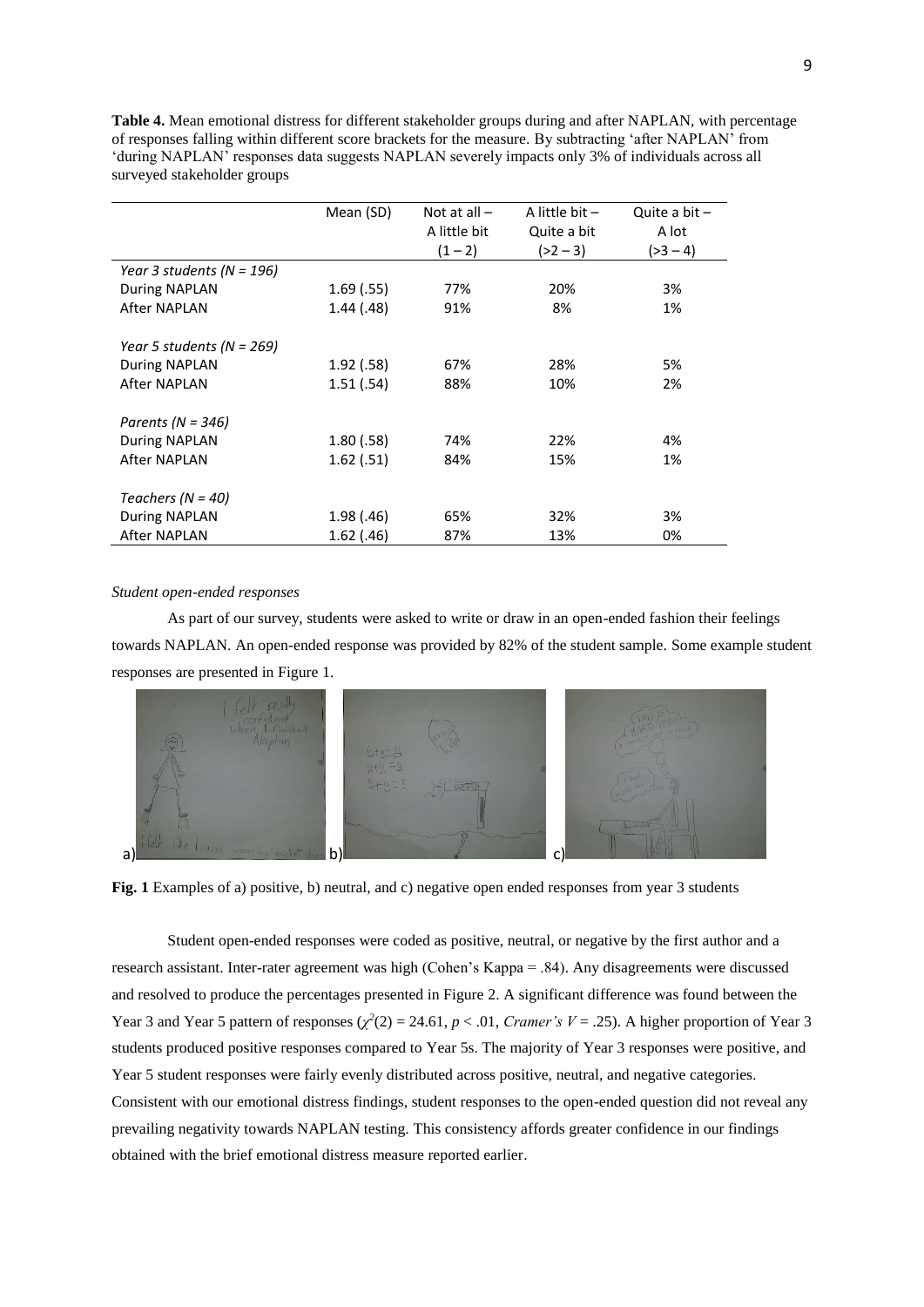**Table 4.** Mean emotional distress for different stakeholder groups during and after NAPLAN, with percentage of responses falling within different score brackets for the measure. By subtracting 'after NAPLAN' from 'during NAPLAN' responses data suggests NAPLAN severely impacts only 3% of individuals across all surveyed stakeholder groups

|                           | Mean (SD)  | Not at all $-$ | A little bit $-$ | Quite a bit $-$ |
|---------------------------|------------|----------------|------------------|-----------------|
|                           |            | A little bit   | Quite a bit      | A lot           |
|                           |            | $(1 - 2)$      | $(>2 - 3)$       | $( >3 - 4)$     |
| Year 3 students (N = 196) |            |                |                  |                 |
| During NAPLAN             | 1.69(0.55) | 77%            | 20%              | 3%              |
| After NAPLAN              | 1.44(0.48) | 91%            | 8%               | 1%              |
|                           |            |                |                  |                 |
| Year 5 students (N = 269) |            |                |                  |                 |
| During NAPLAN             | 1.92(.58)  | 67%            | 28%              | 5%              |
| After NAPLAN              | 1.51(.54)  | 88%            | 10%              | 2%              |
|                           |            |                |                  |                 |
| Parents ( $N = 346$ )     |            |                |                  |                 |
| During NAPLAN             | 1.80(.58)  | 74%            | 22%              | 4%              |
| <b>After NAPLAN</b>       | 1.62(.51)  | 84%            | 15%              | 1%              |
|                           |            |                |                  |                 |
| Teachers ( $N = 40$ )     |            |                |                  |                 |
| During NAPLAN             | 1.98(0.46) | 65%            | 32%              | 3%              |
| After NAPLAN              | 1.62(0.46) | 87%            | 13%              | 0%              |

#### *Student open-ended responses*

As part of our survey, students were asked to write or draw in an open-ended fashion their feelings towards NAPLAN. An open-ended response was provided by 82% of the student sample. Some example student responses are presented in Figure 1.



**Fig. 1** Examples of a) positive, b) neutral, and c) negative open ended responses from year 3 students

Student open-ended responses were coded as positive, neutral, or negative by the first author and a research assistant. Inter-rater agreement was high (Cohen's Kappa = .84). Any disagreements were discussed and resolved to produce the percentages presented in Figure 2. A significant difference was found between the Year 3 and Year 5 pattern of responses  $(\chi^2(2) = 24.61, p < .01, Cramer's V = .25)$ . A higher proportion of Year 3 students produced positive responses compared to Year 5s. The majority of Year 3 responses were positive, and Year 5 student responses were fairly evenly distributed across positive, neutral, and negative categories. Consistent with our emotional distress findings, student responses to the open-ended question did not reveal any prevailing negativity towards NAPLAN testing. This consistency affords greater confidence in our findings obtained with the brief emotional distress measure reported earlier.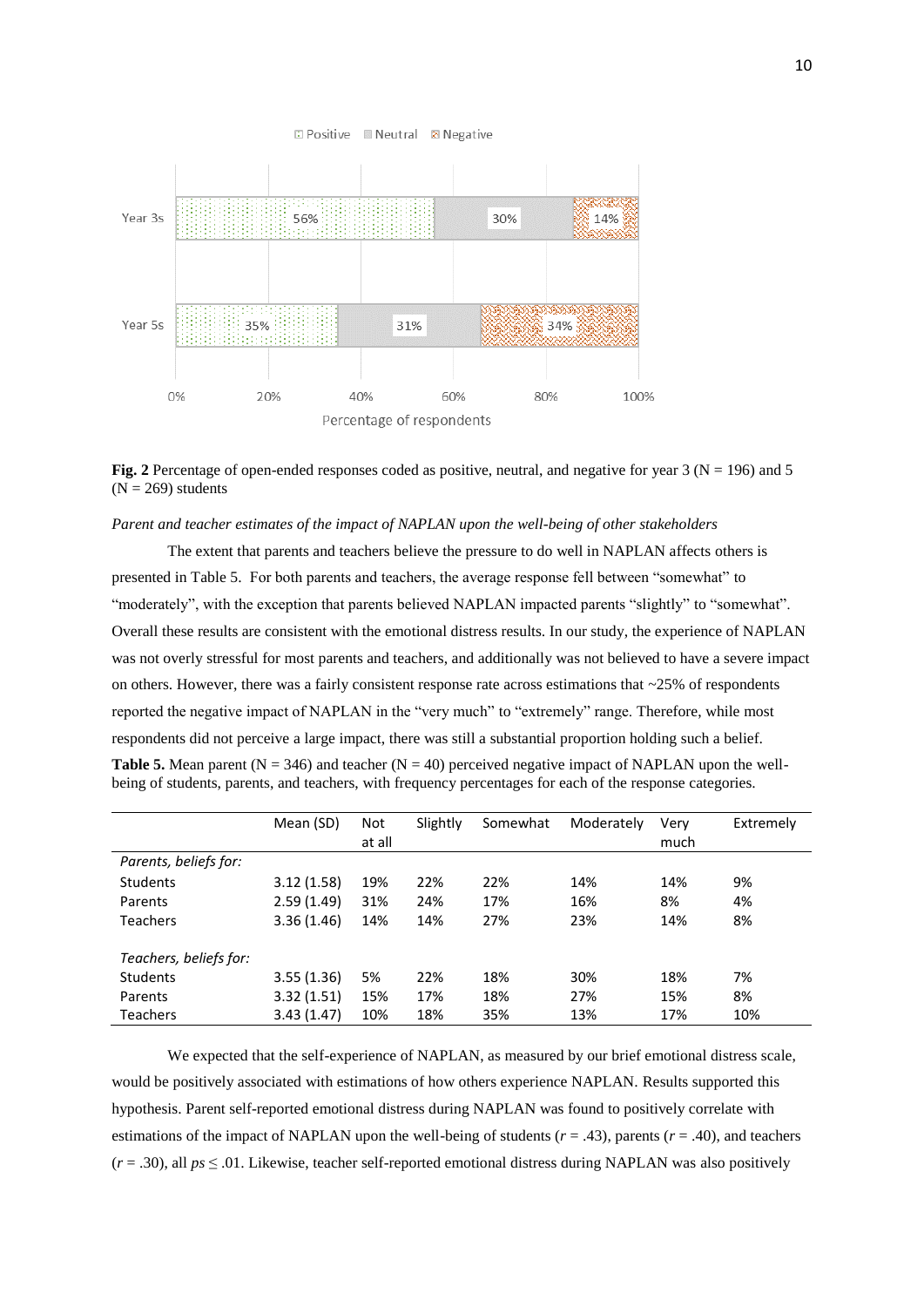#### □ Positive **Meutral A** Negative



**Fig. 2** Percentage of open-ended responses coded as positive, neutral, and negative for year 3 ( $N = 196$ ) and 5  $(N = 269)$  students

## *Parent and teacher estimates of the impact of NAPLAN upon the well-being of other stakeholders*

The extent that parents and teachers believe the pressure to do well in NAPLAN affects others is presented in Table 5. For both parents and teachers, the average response fell between "somewhat" to "moderately", with the exception that parents believed NAPLAN impacted parents "slightly" to "somewhat". Overall these results are consistent with the emotional distress results. In our study, the experience of NAPLAN was not overly stressful for most parents and teachers, and additionally was not believed to have a severe impact on others. However, there was a fairly consistent response rate across estimations that  $\sim$ 25% of respondents reported the negative impact of NAPLAN in the "very much" to "extremely" range. Therefore, while most respondents did not perceive a large impact, there was still a substantial proportion holding such a belief. **Table 5.** Mean parent  $(N = 346)$  and teacher  $(N = 40)$  perceived negative impact of NAPLAN upon the wellbeing of students, parents, and teachers, with frequency percentages for each of the response categories.

|                        | Mean (SD)  | Not<br>at all | Slightly | Somewhat | Moderately | Verv<br>much | Extremely |
|------------------------|------------|---------------|----------|----------|------------|--------------|-----------|
| Parents, beliefs for:  |            |               |          |          |            |              |           |
| <b>Students</b>        | 3.12(1.58) | 19%           | 22%      | 22%      | 14%        | 14%          | 9%        |
| Parents                | 2.59(1.49) | 31%           | 24%      | 17%      | 16%        | 8%           | 4%        |
| <b>Teachers</b>        | 3.36(1.46) | 14%           | 14%      | 27%      | 23%        | 14%          | 8%        |
| Teachers, beliefs for: |            |               |          |          |            |              |           |
| <b>Students</b>        | 3.55(1.36) | 5%            | 22%      | 18%      | 30%        | 18%          | 7%        |
| Parents                | 3.32(1.51) | 15%           | 17%      | 18%      | 27%        | 15%          | 8%        |
| <b>Teachers</b>        | 3.43(1.47) | 10%           | 18%      | 35%      | 13%        | 17%          | 10%       |

We expected that the self-experience of NAPLAN, as measured by our brief emotional distress scale, would be positively associated with estimations of how others experience NAPLAN. Results supported this hypothesis. Parent self-reported emotional distress during NAPLAN was found to positively correlate with estimations of the impact of NAPLAN upon the well-being of students  $(r = .43)$ , parents  $(r = .40)$ , and teachers  $(r = .30)$ , all  $ps \leq .01$ . Likewise, teacher self-reported emotional distress during NAPLAN was also positively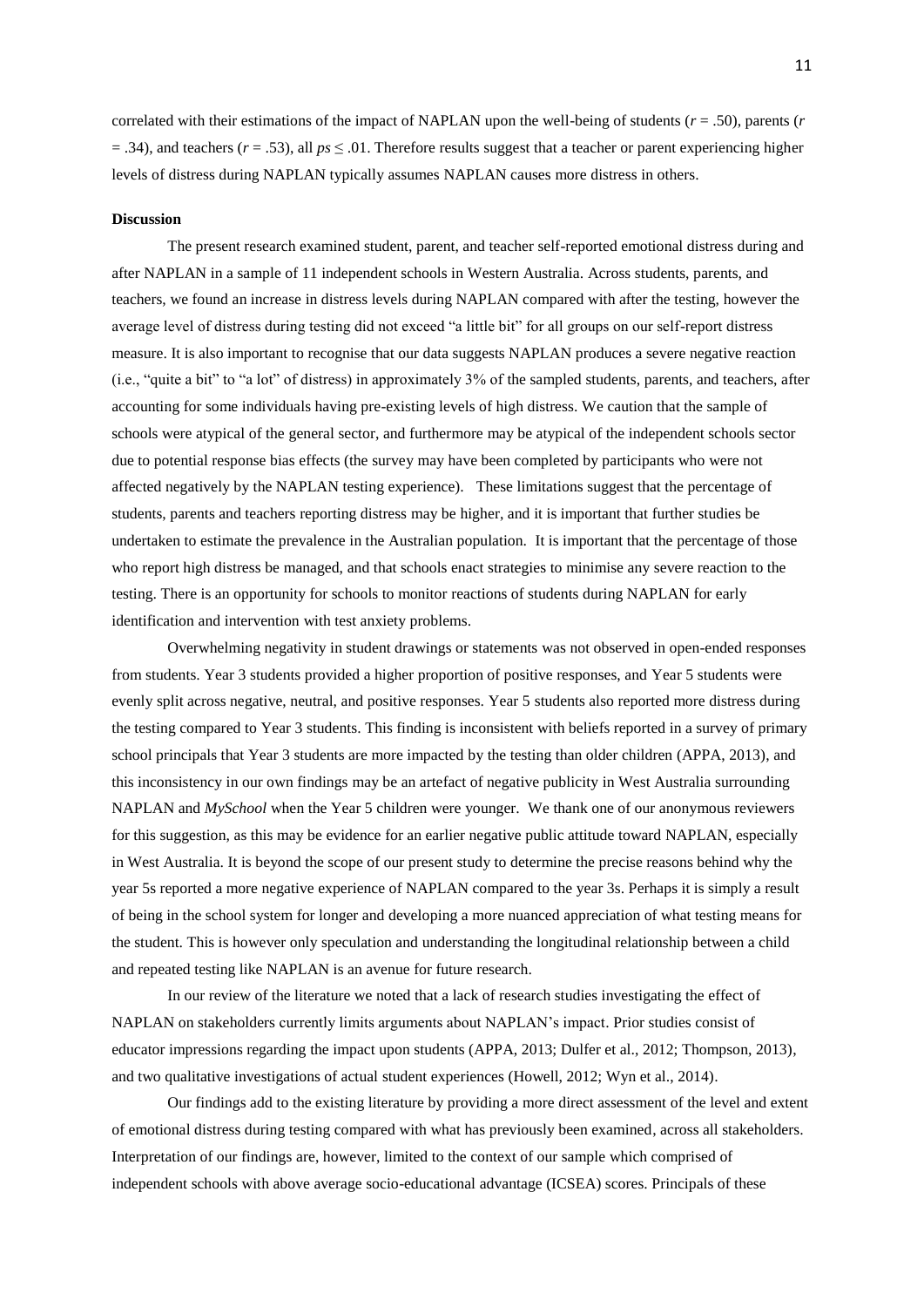correlated with their estimations of the impact of NAPLAN upon the well-being of students (*r* = .50), parents (*r*  $(7.34)$ , and teachers ( $r = .53$ ), all  $ps \le 0.01$ . Therefore results suggest that a teacher or parent experiencing higher levels of distress during NAPLAN typically assumes NAPLAN causes more distress in others.

## **Discussion**

The present research examined student, parent, and teacher self-reported emotional distress during and after NAPLAN in a sample of 11 independent schools in Western Australia. Across students, parents, and teachers, we found an increase in distress levels during NAPLAN compared with after the testing, however the average level of distress during testing did not exceed "a little bit" for all groups on our self-report distress measure. It is also important to recognise that our data suggests NAPLAN produces a severe negative reaction (i.e., "quite a bit" to "a lot" of distress) in approximately 3% of the sampled students, parents, and teachers, after accounting for some individuals having pre-existing levels of high distress. We caution that the sample of schools were atypical of the general sector, and furthermore may be atypical of the independent schools sector due to potential response bias effects (the survey may have been completed by participants who were not affected negatively by the NAPLAN testing experience). These limitations suggest that the percentage of students, parents and teachers reporting distress may be higher, and it is important that further studies be undertaken to estimate the prevalence in the Australian population. It is important that the percentage of those who report high distress be managed, and that schools enact strategies to minimise any severe reaction to the testing. There is an opportunity for schools to monitor reactions of students during NAPLAN for early identification and intervention with test anxiety problems.

Overwhelming negativity in student drawings or statements was not observed in open-ended responses from students. Year 3 students provided a higher proportion of positive responses, and Year 5 students were evenly split across negative, neutral, and positive responses. Year 5 students also reported more distress during the testing compared to Year 3 students. This finding is inconsistent with beliefs reported in a survey of primary school principals that Year 3 students are more impacted by the testing than older children (APPA, 2013), and this inconsistency in our own findings may be an artefact of negative publicity in West Australia surrounding NAPLAN and *MySchool* when the Year 5 children were younger. We thank one of our anonymous reviewers for this suggestion, as this may be evidence for an earlier negative public attitude toward NAPLAN, especially in West Australia. It is beyond the scope of our present study to determine the precise reasons behind why the year 5s reported a more negative experience of NAPLAN compared to the year 3s. Perhaps it is simply a result of being in the school system for longer and developing a more nuanced appreciation of what testing means for the student. This is however only speculation and understanding the longitudinal relationship between a child and repeated testing like NAPLAN is an avenue for future research.

In our review of the literature we noted that a lack of research studies investigating the effect of NAPLAN on stakeholders currently limits arguments about NAPLAN's impact. Prior studies consist of educator impressions regarding the impact upon students (APPA, 2013; Dulfer et al., 2012; Thompson, 2013), and two qualitative investigations of actual student experiences (Howell, 2012; Wyn et al., 2014).

Our findings add to the existing literature by providing a more direct assessment of the level and extent of emotional distress during testing compared with what has previously been examined, across all stakeholders. Interpretation of our findings are, however, limited to the context of our sample which comprised of independent schools with above average socio-educational advantage (ICSEA) scores. Principals of these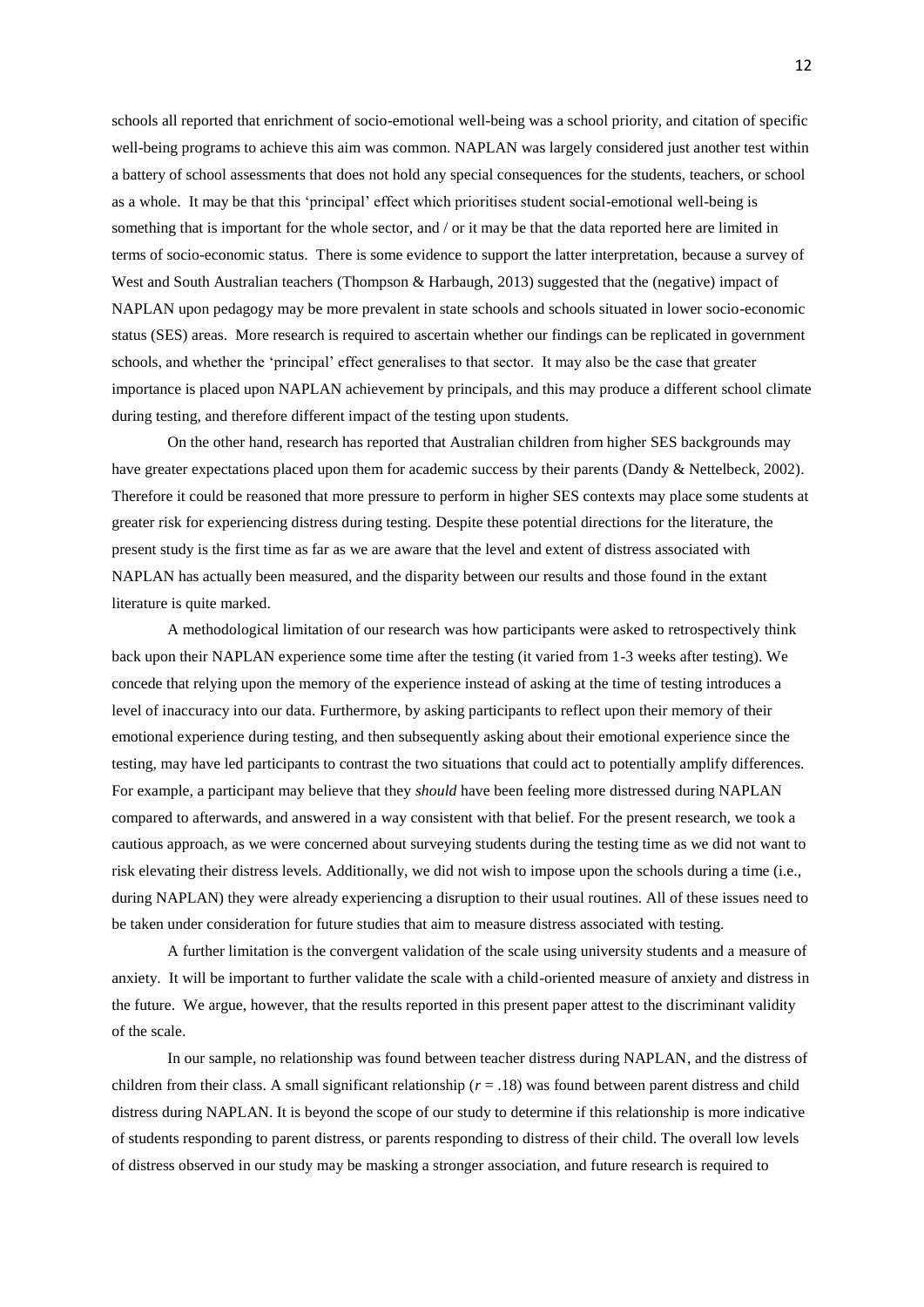schools all reported that enrichment of socio-emotional well-being was a school priority, and citation of specific well-being programs to achieve this aim was common. NAPLAN was largely considered just another test within a battery of school assessments that does not hold any special consequences for the students, teachers, or school as a whole. It may be that this 'principal' effect which prioritises student social-emotional well-being is something that is important for the whole sector, and / or it may be that the data reported here are limited in terms of socio-economic status. There is some evidence to support the latter interpretation, because a survey of West and South Australian teachers (Thompson & Harbaugh, 2013) suggested that the (negative) impact of NAPLAN upon pedagogy may be more prevalent in state schools and schools situated in lower socio-economic status (SES) areas. More research is required to ascertain whether our findings can be replicated in government schools, and whether the 'principal' effect generalises to that sector. It may also be the case that greater importance is placed upon NAPLAN achievement by principals, and this may produce a different school climate during testing, and therefore different impact of the testing upon students.

On the other hand, research has reported that Australian children from higher SES backgrounds may have greater expectations placed upon them for academic success by their parents (Dandy & Nettelbeck, 2002). Therefore it could be reasoned that more pressure to perform in higher SES contexts may place some students at greater risk for experiencing distress during testing. Despite these potential directions for the literature, the present study is the first time as far as we are aware that the level and extent of distress associated with NAPLAN has actually been measured, and the disparity between our results and those found in the extant literature is quite marked.

A methodological limitation of our research was how participants were asked to retrospectively think back upon their NAPLAN experience some time after the testing (it varied from 1-3 weeks after testing). We concede that relying upon the memory of the experience instead of asking at the time of testing introduces a level of inaccuracy into our data. Furthermore, by asking participants to reflect upon their memory of their emotional experience during testing, and then subsequently asking about their emotional experience since the testing, may have led participants to contrast the two situations that could act to potentially amplify differences. For example, a participant may believe that they *should* have been feeling more distressed during NAPLAN compared to afterwards, and answered in a way consistent with that belief. For the present research, we took a cautious approach, as we were concerned about surveying students during the testing time as we did not want to risk elevating their distress levels. Additionally, we did not wish to impose upon the schools during a time (i.e., during NAPLAN) they were already experiencing a disruption to their usual routines. All of these issues need to be taken under consideration for future studies that aim to measure distress associated with testing.

A further limitation is the convergent validation of the scale using university students and a measure of anxiety. It will be important to further validate the scale with a child-oriented measure of anxiety and distress in the future. We argue, however, that the results reported in this present paper attest to the discriminant validity of the scale.

In our sample, no relationship was found between teacher distress during NAPLAN, and the distress of children from their class. A small significant relationship (*r* = .18) was found between parent distress and child distress during NAPLAN. It is beyond the scope of our study to determine if this relationship is more indicative of students responding to parent distress, or parents responding to distress of their child. The overall low levels of distress observed in our study may be masking a stronger association, and future research is required to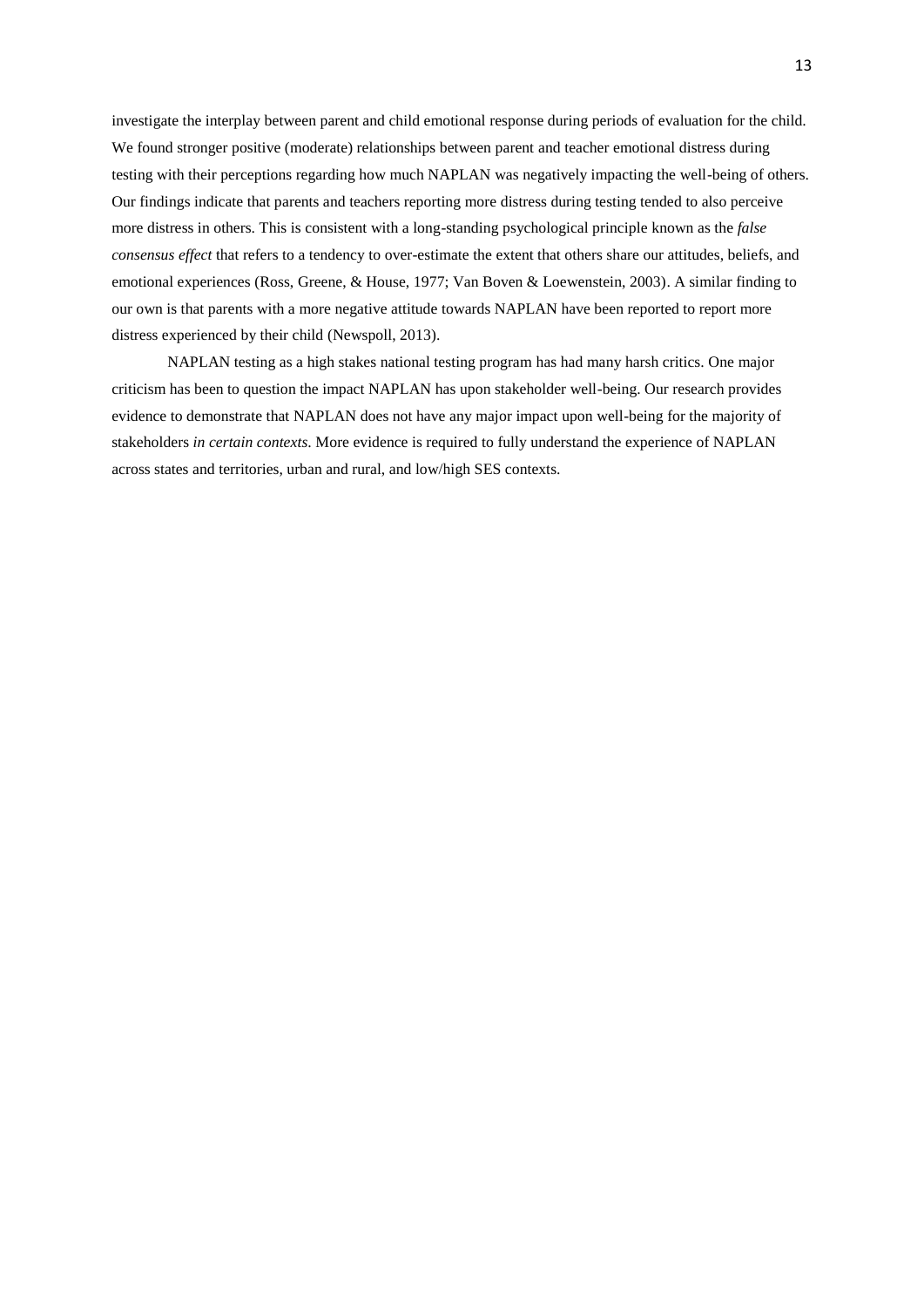investigate the interplay between parent and child emotional response during periods of evaluation for the child. We found stronger positive (moderate) relationships between parent and teacher emotional distress during testing with their perceptions regarding how much NAPLAN was negatively impacting the well-being of others. Our findings indicate that parents and teachers reporting more distress during testing tended to also perceive more distress in others. This is consistent with a long-standing psychological principle known as the *false consensus effect* that refers to a tendency to over-estimate the extent that others share our attitudes, beliefs, and emotional experiences (Ross, Greene, & House, 1977; Van Boven & Loewenstein, 2003). A similar finding to our own is that parents with a more negative attitude towards NAPLAN have been reported to report more distress experienced by their child (Newspoll, 2013).

NAPLAN testing as a high stakes national testing program has had many harsh critics. One major criticism has been to question the impact NAPLAN has upon stakeholder well-being. Our research provides evidence to demonstrate that NAPLAN does not have any major impact upon well-being for the majority of stakeholders *in certain contexts*. More evidence is required to fully understand the experience of NAPLAN across states and territories, urban and rural, and low/high SES contexts.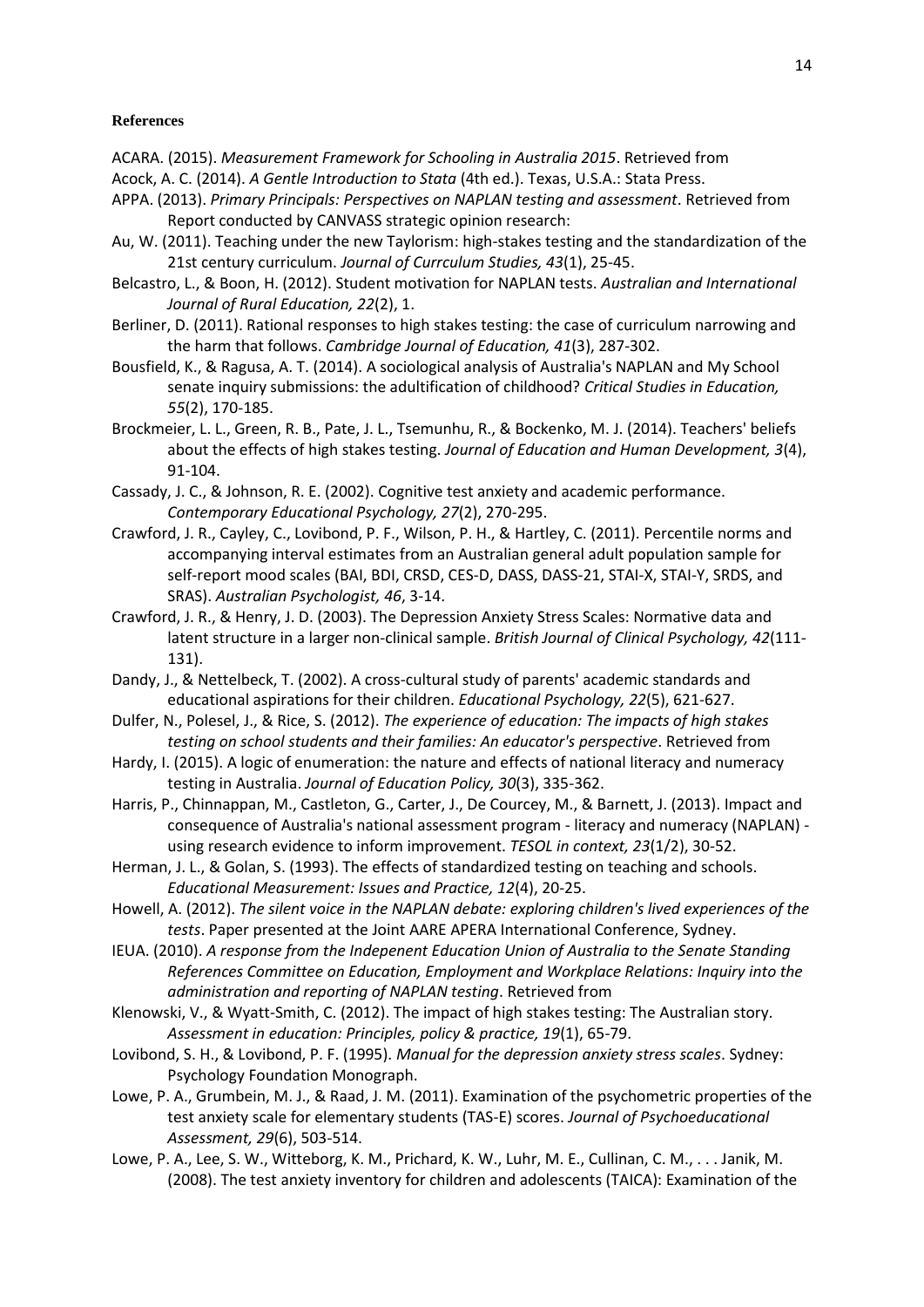## **References**

- ACARA. (2015). *Measurement Framework for Schooling in Australia 2015*. Retrieved from
- Acock, A. C. (2014). *A Gentle Introduction to Stata* (4th ed.). Texas, U.S.A.: Stata Press.
- APPA. (2013). *Primary Principals: Perspectives on NAPLAN testing and assessment*. Retrieved from Report conducted by CANVASS strategic opinion research:
- Au, W. (2011). Teaching under the new Taylorism: high-stakes testing and the standardization of the 21st century curriculum. *Journal of Currculum Studies, 43*(1), 25-45.
- Belcastro, L., & Boon, H. (2012). Student motivation for NAPLAN tests. *Australian and International Journal of Rural Education, 22*(2), 1.
- Berliner, D. (2011). Rational responses to high stakes testing: the case of curriculum narrowing and the harm that follows. *Cambridge Journal of Education, 41*(3), 287-302.
- Bousfield, K., & Ragusa, A. T. (2014). A sociological analysis of Australia's NAPLAN and My School senate inquiry submissions: the adultification of childhood? *Critical Studies in Education, 55*(2), 170-185.
- Brockmeier, L. L., Green, R. B., Pate, J. L., Tsemunhu, R., & Bockenko, M. J. (2014). Teachers' beliefs about the effects of high stakes testing. *Journal of Education and Human Development, 3*(4), 91-104.
- Cassady, J. C., & Johnson, R. E. (2002). Cognitive test anxiety and academic performance. *Contemporary Educational Psychology, 27*(2), 270-295.
- Crawford, J. R., Cayley, C., Lovibond, P. F., Wilson, P. H., & Hartley, C. (2011). Percentile norms and accompanying interval estimates from an Australian general adult population sample for self-report mood scales (BAI, BDI, CRSD, CES-D, DASS, DASS-21, STAI-X, STAI-Y, SRDS, and SRAS). *Australian Psychologist, 46*, 3-14.
- Crawford, J. R., & Henry, J. D. (2003). The Depression Anxiety Stress Scales: Normative data and latent structure in a larger non-clinical sample. *British Journal of Clinical Psychology, 42*(111- 131).
- Dandy, J., & Nettelbeck, T. (2002). A cross-cultural study of parents' academic standards and educational aspirations for their children. *Educational Psychology, 22*(5), 621-627.
- Dulfer, N., Polesel, J., & Rice, S. (2012). *The experience of education: The impacts of high stakes testing on school students and their families: An educator's perspective*. Retrieved from
- Hardy, I. (2015). A logic of enumeration: the nature and effects of national literacy and numeracy testing in Australia. *Journal of Education Policy, 30*(3), 335-362.
- Harris, P., Chinnappan, M., Castleton, G., Carter, J., De Courcey, M., & Barnett, J. (2013). Impact and consequence of Australia's national assessment program - literacy and numeracy (NAPLAN) using research evidence to inform improvement. *TESOL in context, 23*(1/2), 30-52.
- Herman, J. L., & Golan, S. (1993). The effects of standardized testing on teaching and schools. *Educational Measurement: Issues and Practice, 12*(4), 20-25.
- Howell, A. (2012). *The silent voice in the NAPLAN debate: exploring children's lived experiences of the tests*. Paper presented at the Joint AARE APERA International Conference, Sydney.
- IEUA. (2010). *A response from the Indepenent Education Union of Australia to the Senate Standing References Committee on Education, Employment and Workplace Relations: Inquiry into the administration and reporting of NAPLAN testing*. Retrieved from
- Klenowski, V., & Wyatt-Smith, C. (2012). The impact of high stakes testing: The Australian story. *Assessment in education: Principles, policy & practice, 19*(1), 65-79.
- Lovibond, S. H., & Lovibond, P. F. (1995). *Manual for the depression anxiety stress scales*. Sydney: Psychology Foundation Monograph.
- Lowe, P. A., Grumbein, M. J., & Raad, J. M. (2011). Examination of the psychometric properties of the test anxiety scale for elementary students (TAS-E) scores. *Journal of Psychoeducational Assessment, 29*(6), 503-514.
- Lowe, P. A., Lee, S. W., Witteborg, K. M., Prichard, K. W., Luhr, M. E., Cullinan, C. M., . . . Janik, M. (2008). The test anxiety inventory for children and adolescents (TAICA): Examination of the